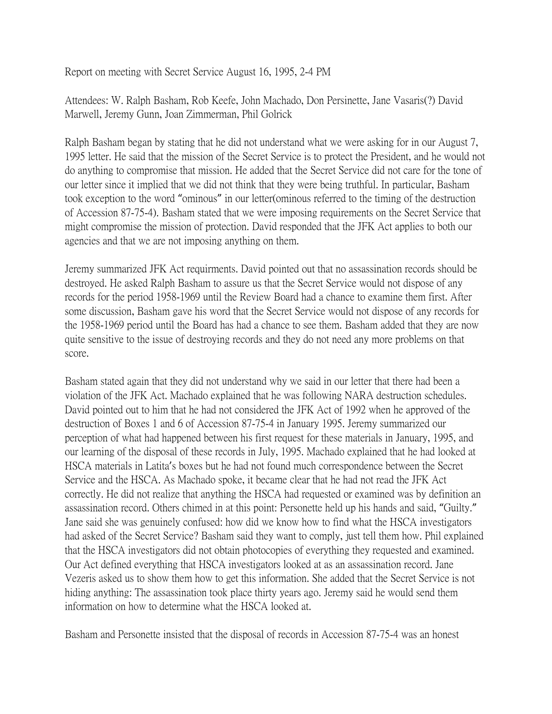Report on meeting with Secret Service August 16, 1995, 2-4 PM

Attendees: W. Ralph Basham, Rob Keefe, John Machado, Don Persinette, Jane Vasaris(?) David Marwell, Jeremy Gunn, Joan Zimmerman, Phil Golrick

Ralph Basham began by stating that he did not understand what we were asking for in our August 7, 1995 letter. He said that the mission of the Secret Service is to protect the President, and he would not do anything to compromise that mission. He added that the Secret Service did not care for the tone of our letter since it implied that we did not think that they were being truthful. In particular, Basham took exception to the word "ominous" in our letter(ominous referred to the timing of the destruction of Accession 87-75-4). Basham stated that we were imposing requirements on the Secret Service that might compromise the mission of protection. David responded that the JFK Act applies to both our agencies and that we are not imposing anything on them.

Jeremy summarized JFK Act requirments. David pointed out that no assassination records should be destroyed. He asked Ralph Basham to assure us that the Secret Service would not dispose of any records for the period 1958-1969 until the Review Board had a chance to examine them first. After some discussion, Basham gave his word that the Secret Service would not dispose of any records for the 1958-1969 period until the Board has had a chance to see them. Basham added that they are now quite sensitive to the issue of destroying records and they do not need any more problems on that score.

Basham stated again that they did not understand why we said in our letter that there had been a violation of the JFK Act. Machado explained that he was following NARA destruction schedules. David pointed out to him that he had not considered the JFK Act of 1992 when he approved of the destruction of Boxes 1 and 6 of Accession 87-75-4 in January 1995. Jeremy summarized our perception of what had happened between his first request for these materials in January, 1995, and our learning of the disposal of these records in July, 1995. Machado explained that he had looked at HSCA materials in Latita's boxes but he had not found much correspondence between the Secret Service and the HSCA. As Machado spoke, it became clear that he had not read the JFK Act correctly. He did not realize that anything the HSCA had requested or examined was by definition an assassination record. Others chimed in at this point: Personette held up his hands and said, "Guilty." Jane said she was genuinely confused: how did we know how to find what the HSCA investigators had asked of the Secret Service? Basham said they want to comply, just tell them how. Phil explained that the HSCA investigators did not obtain photocopies of everything they requested and examined. Our Act defined everything that HSCA investigators looked at as an assassination record. Jane Vezeris asked us to show them how to get this information. She added that the Secret Service is not hiding anything: The assassination took place thirty years ago. Jeremy said he would send them information on how to determine what the HSCA looked at.

Basham and Personette insisted that the disposal of records in Accession 87-75-4 was an honest